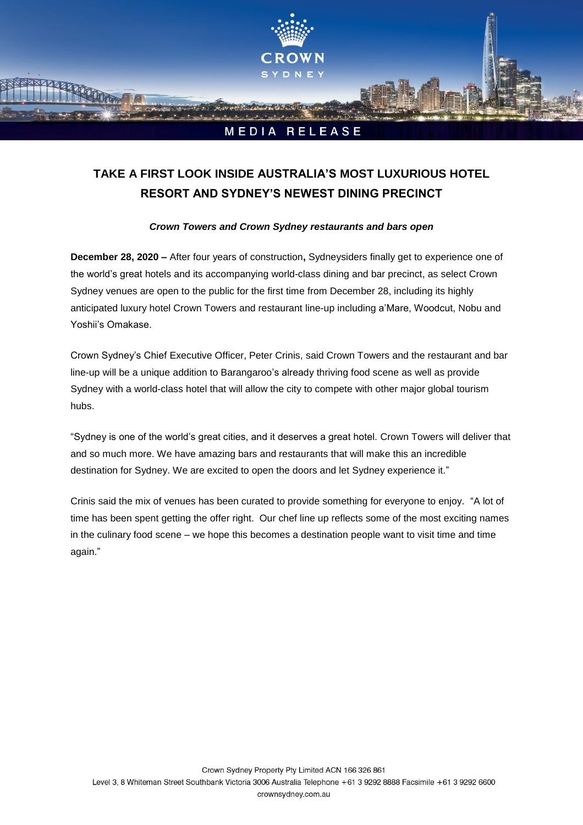

# **TAKE A FIRST LOOK INSIDE AUSTRALIA'S MOST LUXURIOUS HOTEL RESORT AND SYDNEY'S NEWEST DINING PRECINCT**

# *Crown Towers and Crown Sydney restaurants and bars open*

**December 28, 2020 –** After four years of construction**,** Sydneysiders finally get to experience one of the world's great hotels and its accompanying world-class dining and bar precinct, as select Crown Sydney venues are open to the public for the first time from December 28, including its highly anticipated luxury hotel Crown Towers and restaurant line-up including a'Mare, Woodcut, Nobu and Yoshii's Omakase.

Crown Sydney's Chief Executive Officer, Peter Crinis, said Crown Towers and the restaurant and bar line-up will be a unique addition to Barangaroo's already thriving food scene as well as provide Sydney with a world-class hotel that will allow the city to compete with other major global tourism hubs.

"Sydney is one of the world's great cities, and it deserves a great hotel. Crown Towers will deliver that and so much more. We have amazing bars and restaurants that will make this an incredible destination for Sydney. We are excited to open the doors and let Sydney experience it."

Crinis said the mix of venues has been curated to provide something for everyone to enjoy. "A lot of time has been spent getting the offer right. Our chef line up reflects some of the most exciting names in the culinary food scene – we hope this becomes a destination people want to visit time and time again."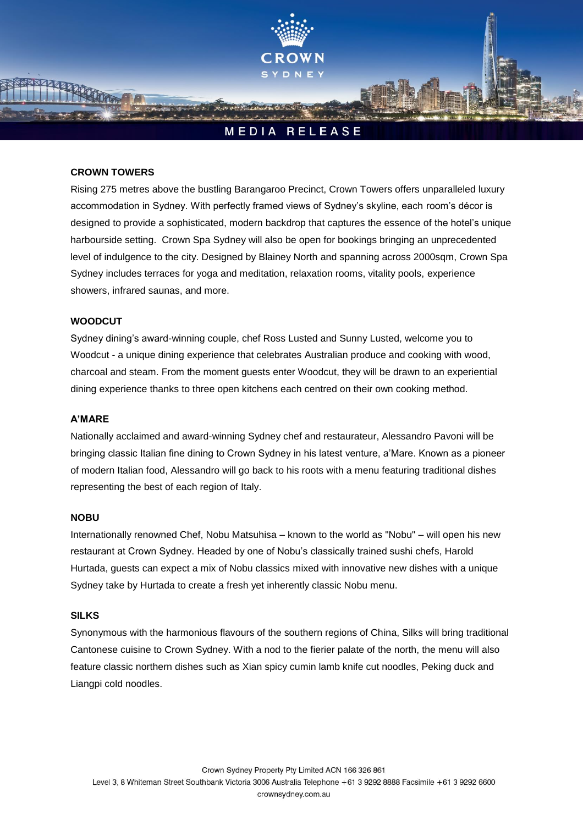

#### **CROWN TOWERS**

Rising 275 metres above the bustling Barangaroo Precinct, Crown Towers offers unparalleled luxury accommodation in Sydney. With perfectly framed views of Sydney's skyline, each room's décor is designed to provide a sophisticated, modern backdrop that captures the essence of the hotel's unique harbourside setting. Crown Spa Sydney will also be open for bookings bringing an unprecedented level of indulgence to the city. Designed by Blainey North and spanning across 2000sqm, Crown Spa Sydney includes terraces for yoga and meditation, relaxation rooms, vitality pools, experience showers, infrared saunas, and more.

### **WOODCUT**

Sydney dining's award-winning couple, chef Ross Lusted and Sunny Lusted, welcome you to Woodcut - a unique dining experience that celebrates Australian produce and cooking with wood, charcoal and steam. From the moment guests enter Woodcut, they will be drawn to an experiential dining experience thanks to three open kitchens each centred on their own cooking method.

#### **A'MARE**

Nationally acclaimed and award-winning Sydney chef and restaurateur, Alessandro Pavoni will be bringing classic Italian fine dining to Crown Sydney in his latest venture, a'Mare. Known as a pioneer of modern Italian food, Alessandro will go back to his roots with a menu featuring traditional dishes representing the best of each region of Italy.

#### **NOBU**

Internationally renowned Chef, Nobu Matsuhisa – known to the world as "Nobu" – will open his new restaurant at Crown Sydney. Headed by one of Nobu's classically trained sushi chefs, Harold Hurtada, guests can expect a mix of Nobu classics mixed with innovative new dishes with a unique Sydney take by Hurtada to create a fresh yet inherently classic Nobu menu.

#### **SILKS**

Synonymous with the harmonious flavours of the southern regions of China, Silks will bring traditional Cantonese cuisine to Crown Sydney. With a nod to the fierier palate of the north, the menu will also feature classic northern dishes such as Xian spicy cumin lamb knife cut noodles, Peking duck and Liangpi cold noodles.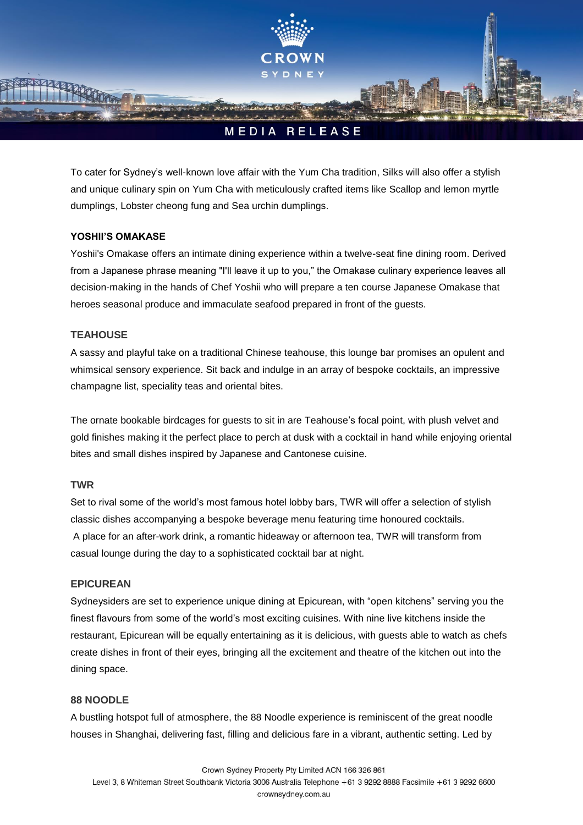

To cater for Sydney's well-known love affair with the Yum Cha tradition, Silks will also offer a stylish and unique culinary spin on Yum Cha with meticulously crafted items like Scallop and lemon myrtle dumplings, Lobster cheong fung and Sea urchin dumplings.

# **YOSHII'S OMAKASE**

Yoshii's Omakase offers an intimate dining experience within a twelve-seat fine dining room. Derived from a Japanese phrase meaning "I'll leave it up to you," the Omakase culinary experience leaves all decision-making in the hands of Chef Yoshii who will prepare a ten course Japanese Omakase that heroes seasonal produce and immaculate seafood prepared in front of the guests.

# **TEAHOUSE**

A sassy and playful take on a traditional Chinese teahouse, this lounge bar promises an opulent and whimsical sensory experience. Sit back and indulge in an array of bespoke cocktails, an impressive champagne list, speciality teas and oriental bites.

The ornate bookable birdcages for guests to sit in are Teahouse's focal point, with plush velvet and gold finishes making it the perfect place to perch at dusk with a cocktail in hand while enjoying oriental bites and small dishes inspired by Japanese and Cantonese cuisine.

## **TWR**

Set to rival some of the world's most famous hotel lobby bars, TWR will offer a selection of stylish classic dishes accompanying a bespoke beverage menu featuring time honoured cocktails. A place for an after-work drink, a romantic hideaway or afternoon tea, TWR will transform from casual lounge during the day to a sophisticated cocktail bar at night.

# **EPICUREAN**

Sydneysiders are set to experience unique dining at Epicurean, with "open kitchens" serving you the finest flavours from some of the world's most exciting cuisines. With nine live kitchens inside the restaurant, Epicurean will be equally entertaining as it is delicious, with guests able to watch as chefs create dishes in front of their eyes, bringing all the excitement and theatre of the kitchen out into the dining space.

## **88 NOODLE**

A bustling hotspot full of atmosphere, the 88 Noodle experience is reminiscent of the great noodle houses in Shanghai, delivering fast, filling and delicious fare in a vibrant, authentic setting. Led by

Crown Sydney Property Pty Limited ACN 166 326 861

Level 3, 8 Whiteman Street Southbank Victoria 3006 Australia Telephone +61 3 9292 8888 Facsimile +61 3 9292 6600 crownsydney.com.au